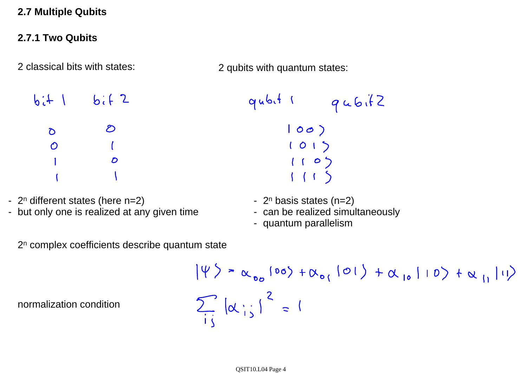### **2.7 Multiple Qubits**

### **2.7.1 Two Qubits**

2 classical bits with states:

2 qubits with quantum states:

 $b: + |$   $b: + 2$  $\mathcal{D}$  $\mathcal{D}$  $\mathcal{O}$  $\boldsymbol{D}$ 

- 2<sup>n</sup> different states (here n=2)
- but only one is realized at any given time
	- 2<sup>n</sup> complex coefficients describe quantum state

normalization condition

$$
qubit
$$
  $qubit$ 

$$
\begin{array}{c} |000\rangle \\ |01\rangle \\ |10\rangle \\ |10\rangle \\ |11\rangle \end{array}
$$

- 2<sup>n</sup> basis states (n=2)
- can be realized simultaneously
- quantum parallelism

$$
|\psi\rangle = \alpha_{00} |00\rangle + \alpha_{01} |01\rangle + \alpha_{10} |10\rangle + \alpha_{11} |11\rangle
$$
  

$$
\sum_{i,j} |\alpha_{i,j}|^2 = 1
$$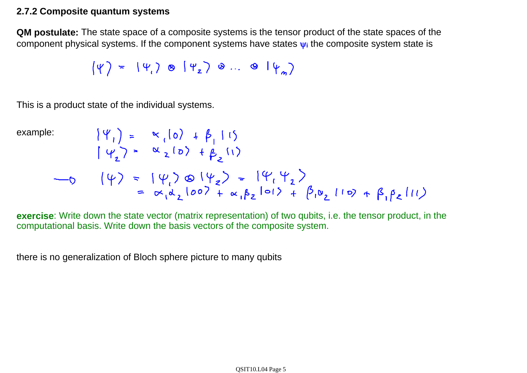### **2.7.2 Composite quantum systems**

**QM postulate:** The state space of a composite systems is the tensor product of the state spaces of the component physical systems. If the component systems have states  $\bf{v}_i$  the composite system state is

$$
(\psi) = (\psi_1) \otimes (\psi_2) \otimes ... \otimes (\psi_n)
$$

This is a product state of the individual systems.

example:  
\n
$$
|\psi_1\rangle = \kappa_1 |0\rangle + \beta_1 |1\rangle
$$
\n
$$
|\psi_2\rangle = \kappa_2 |0\rangle + \beta_2 |1\rangle
$$
\n
$$
-\phi \qquad |\psi\rangle = |\psi_1\rangle \otimes |\psi_2\rangle = |\psi_1 \psi_2\rangle
$$
\n
$$
= \kappa_1 \lambda_2 |00\rangle + \kappa_1 \beta_2 |01\rangle + |\beta_1 \nu_2 |10\rangle + |\beta_1 \beta_2 |11\rangle
$$

**exercise**: Write down the state vector (matrix representation) of two qubits, i.e. the tensor product, in the computational basis. Write down the basis vectors of the composite system.

there is no generalization of Bloch sphere picture to many qubits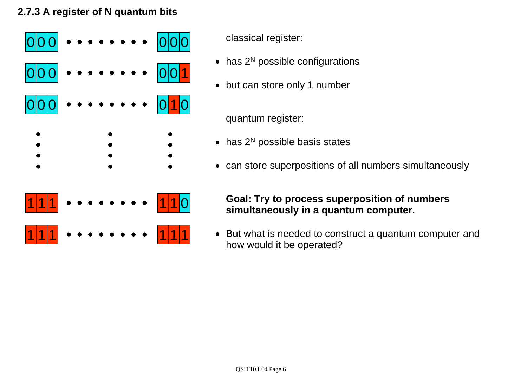## **2.7.3 A register of N quantum bits**



classical register:

- has 2<sup>N</sup> possible configurations
- but can store only 1 number

quantum register:

- has  $2^N$  possible basis states
- can store superpositions of all numbers simultaneously

### **Goal: Try to process superposition of numbers simultaneously in a quantum computer.**

• But what is needed to construct a quantum computer and how would it be operated?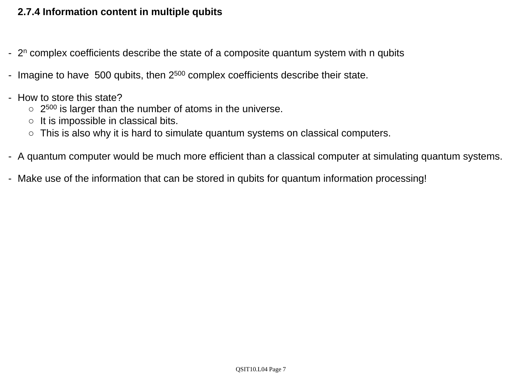### **2.7.4 Information content in multiple qubits**

- $2^n$  complex coefficients describe the state of a composite quantum system with n qubits
- Imagine to have 500 qubits, then  $2^{500}$  complex coefficients describe their state.
- How to store this state?
	- $\circ$  2<sup>500</sup> is larger than the number of atoms in the universe.
	- $\circ$  It is impossible in classical bits.
	- $\circ$  This is also why it is hard to simulate quantum systems on classical computers.
- A quantum computer would be much more efficient than a classical computer at simulating quantum systems.
- Make use of the information that can be stored in qubits for quantum information processing!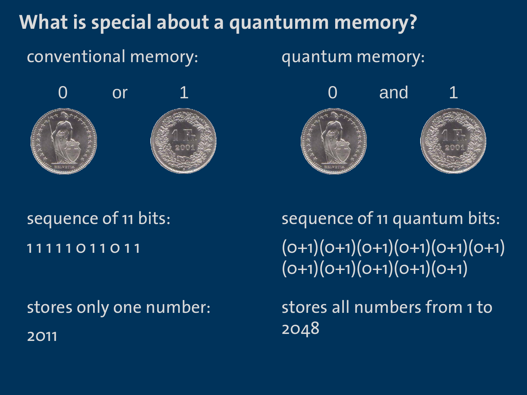# **What is special about a quantumm memory?**

# conventional memory:

quantum memory:





# 1 1 1 1 1 0 1 1 0 1 1 sequence of 11 bits:

2011 stores only one number:

 $(0+1)(0+1)(0+1)(0+1)(0+1)(0+1)$  $(0+1)(0+1)(0+1)(0+1)(0+1)$ sequence of 11 quantum bits:

stores all numbers from 1 to 2048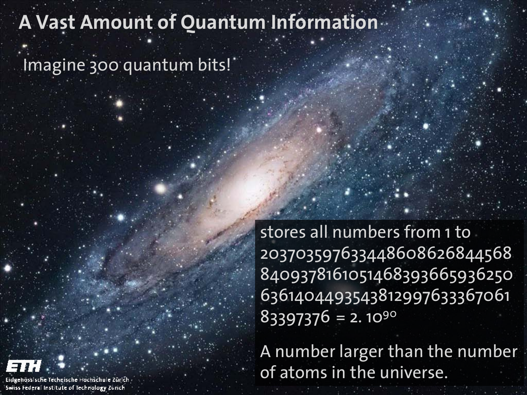# **A Vast Amount of Quantum Information**

Imagine 300 quantum bits!

stores all numbers from 1 to 203703597633448608626844568 8409378161051468393665936250 6361404493543812997633367061  $83397376 = 2.1090$ 

A number larger than the number of atoms in the universe.



Eidgenössische Technische Hochschule Zürich-Swiss Federal Institute of Technology Zurich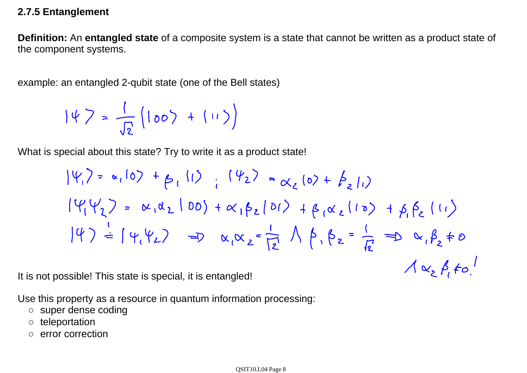### **2.7.5 Entanglement**

**Definition:** An **entangled state** of a composite system is a state that cannot be written as a product state of the component systems.

example: an entangled 2-qubit state (one of the Bell states)

$$
|\psi\rangle = \frac{1}{\sqrt{2}} (100\rangle + (11\rangle))
$$

What is special about this state? Try to write it as a product state!

$$
|\psi_1\rangle = \alpha_1|0\rangle + \beta_1|1\rangle \qquad |\psi_2\rangle = \alpha_2|0\rangle + \beta_2|1\rangle
$$
  
\n
$$
|\psi_1\psi_2\rangle = \alpha_1\alpha_2|00\rangle + \alpha_1\beta_2|01\rangle + \beta_1\alpha_2|10\rangle + \beta_1\beta_2|11\rangle
$$
  
\n
$$
|\psi_1\rangle \doteq |\psi_1\psi_2\rangle \qquad \Rightarrow \alpha_1\alpha_2 = \frac{1}{12} \wedge \beta_1 \beta_2 = \frac{1}{12} \Rightarrow \alpha_1\beta_2 \neq 0
$$
  
\n
$$
\wedge \alpha_2 \beta_1 \neq 0
$$

It is not possible! This state is special, it is entangled!

Use this property as a resource in quantum information processing:

- super dense coding
- teleportation
- error correction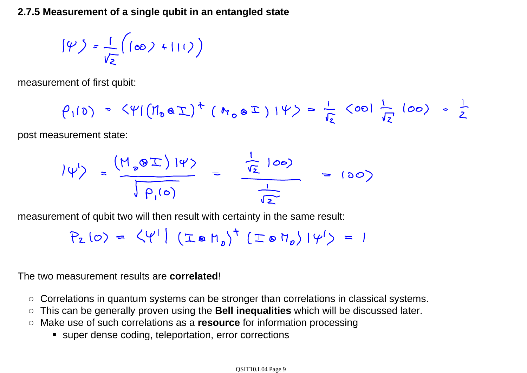**2.7.5 Measurement of a single qubit in an entangled state**

$$
|\psi\big>=\frac{1}{V_{\Sigma}}\left(\left(\infty\right)+\left|\left|\left|\right|\right\rangle\right)\right)
$$

measurement of first qubit:

$$
\rho_1(0) = \langle \psi | (n_0 a \underline{\tau})^+ (n_0 a \underline{\tau}) | \psi \rangle = \frac{1}{\sqrt{2}} \langle 00 | \frac{1}{\sqrt{2}} | 00 \rangle = \frac{1}{2}
$$

post measurement state:

$$
|\psi'\rangle = \frac{(M_{0}8I)V\psi}{\sqrt{p_{1}(0)}} = \frac{\frac{1}{\sqrt{2}}100}{\frac{1}{\sqrt{2}}}
$$
 = (00)

measurement of qubit two will then result with certainty in the same result:

$$
P_{2}(0) = \langle \psi^{1} | (I \otimes M_{0})^{T} (I \otimes M_{0}) | \psi^{1} \rangle = 1
$$

The two measurement results are **correlated**!

- Correlations in quantum systems can be stronger than correlations in classical systems.
- ○This can be generally proven using the **Bell inequalities** which will be discussed later.
- Make use of such correlations as a **resource** for information processing
	- super dense coding, teleportation, error corrections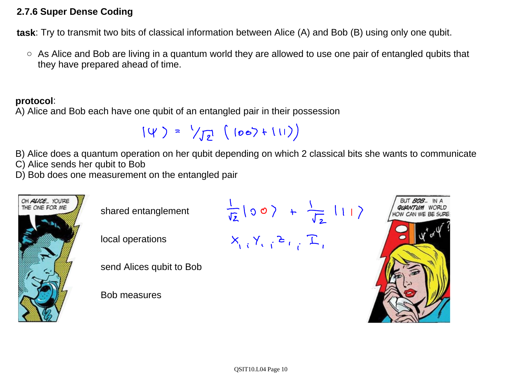### **2.7.6 Super Dense Coding**

**task**: Try to transmit two bits of classical information between Alice (A) and Bob (B) using only one qubit.

○ As Alice and Bob are living in a quantum world they are allowed to use one pair of entangled qubits that they have prepared ahead of time.

### **protocol**:

A) Alice and Bob each have one qubit of an entangled pair in their possession

$$
(4) = \sqrt{2} (100)+111)
$$

B) Alice does a quantum operation on her qubit depending on which 2 classical bits she wants to communicate

C) Alice sends her qubit to Bob

D) Bob does one measurement on the entangled pair

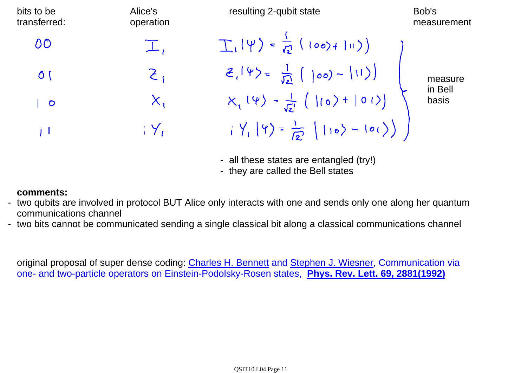| bits to be<br>transferred: | Alice's<br>operation        | resulting 2-qubit state                                                                                                     | Bob's<br>measurement        |
|----------------------------|-----------------------------|-----------------------------------------------------------------------------------------------------------------------------|-----------------------------|
| OO                         |                             | $T_{1} \psi\rangle = \frac{1}{\sqrt{2}} (1007 + 111)$                                                                       | measure<br>in Bell<br>basis |
| $\delta$ (                 | $\mathcal{Z}_{\mathcal{C}}$ | $Z_{1} \psi\rangle = \frac{1}{\sqrt{2}} \left(  \cos \theta -  \theta  \right)$                                             |                             |
| $\overline{O}$             | $X_{1}$                     | $X_{1}(\psi) - \frac{1}{\sqrt{2}} (10) + 01)$                                                                               |                             |
| l l                        | $\frac{1}{1}$ $\frac{1}{2}$ | $\frac{1}{2}$ $\left\langle \frac{1}{2} \right\rangle = \frac{1}{2}$ $\left\langle \frac{1}{2} \right\rangle - \frac{1}{2}$ |                             |

- all these states are entangled (try!)
- they are called the Bell states

### **comments:**

- two qubits are involved in protocol BUT Alice only interacts with one and sends only one along her quantum communications channel
- two bits cannot be communicated sending a single classical bit along a classical communications channel

original proposal of super dense coding: Charles H. Bennett and Stephen J. Wiesner, Communication via one- and two-particle operators on Einstein-Podolsky-Rosen states, **Phys. Rev. Lett. 69, 2881(1992)**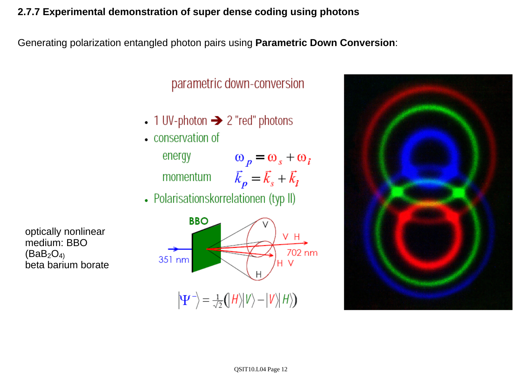### **2.7.7 Experimental demonstration of super dense coding using photons**

Generating polarization entangled photon pairs using **Parametric Down Conversion**:

## parametric down-conversion

- 1 UV-photon  $\rightarrow$  2 "red" photons
- conservation of

energy momentum  $\omega_p = \omega_s + \omega_i$  $\vec{k}_p = \vec{k}_s + \vec{k}_i$ 

• Polarisationskorrelationen (typ II)

optically nonlinear medium: BBO  $(BaB<sub>2</sub>O<sub>4</sub>)$ beta barium borate



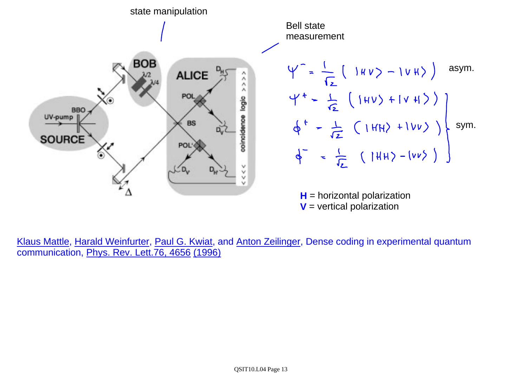

**V** = vertical polarization

Klaus Mattle, Harald Weinfurter, Paul G. Kwiat, and Anton Zeilinger, Dense coding in experimental quantum communication, Phys. Rev. Lett.76, 4656 (1996)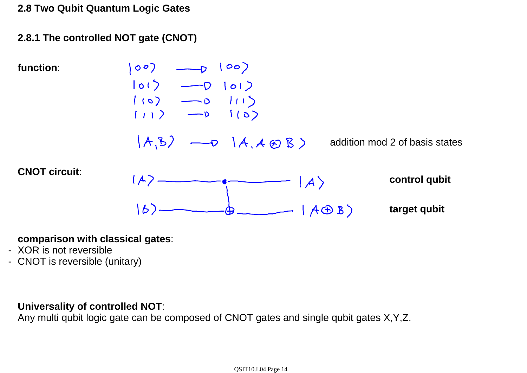**2.8 Two Qubit Quantum Logic Gates**

**2.8.1 The controlled NOT gate (CNOT)**



### **comparison with classical gates**:

- XOR is not reversible
- CNOT is reversible (unitary)

### **Universality of controlled NOT**:

Any multi qubit logic gate can be composed of CNOT gates and single qubit gates X,Y,Z.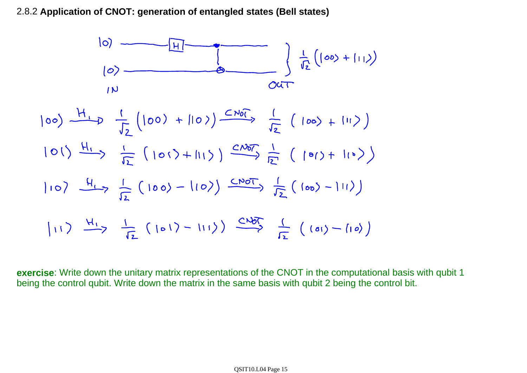2.8.2 **Application of CNOT: generation of entangled states (Bell states)**



**exercise**: Write down the unitary matrix representations of the CNOT in the computational basis with qubit 1 being the control qubit. Write down the matrix in the same basis with qubit 2 being the control bit.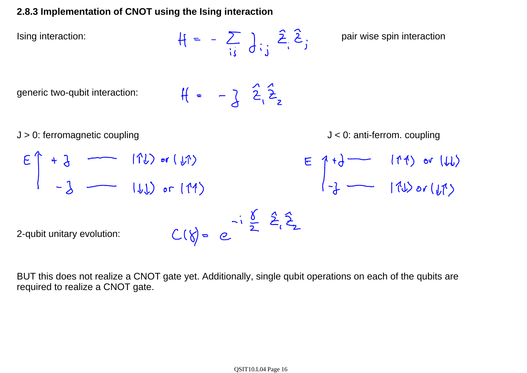## **2.8.3 Implementation of CNOT using the Ising interaction**

Ising interaction: pair wise spin interaction

generic two-qubit interaction:

$$
H = -3 \hat{z}_1 \hat{z}_2
$$

J > 0: ferromagnetic coupling  
\n
$$
E \uparrow + \frac{1}{3}
$$
 (11) or (11)  
\n $- \frac{1}{3}$  (11) or (11)  
\n $2$ -qubit unitary evolution:  
\n $C(\uparrow) = e^{-\frac{\sqrt{6}}{2}} \stackrel{\sqrt{6}}{=} \frac{2}{3} \stackrel{\sqrt{2}}{=} \frac{1}{3}$ 

BUT this does not realize a CNOT gate yet. Additionally, single qubit operations on each of the qubits are required to realize a CNOT gate.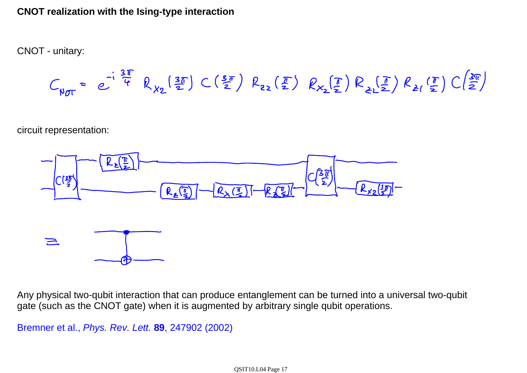### **CNOT realization with the Ising-type interaction**

CNOT - unitary:

$$
C_{\gamma_{0T}} = e^{-i\frac{3\pi}{4}} R_{\chi_2}(\frac{3\pi}{2}) C(\frac{5\pi}{2}) R_{22}(\frac{\pi}{2}) R_{\chi_2}(\frac{\pi}{2}) R_{22}(\frac{\pi}{2}) R_{\chi}(\frac{\pi}{2}) C(\frac{3\pi}{2})
$$

circuit representation:



Any physical two-qubit interaction that can produce entanglement can be turned into a universal two-qubit gate (such as the CNOT gate) when it is augmented by arbitrary single qubit operations.

Bremner et al., *Phys. Rev. Lett.* **89**, 247902 (2002)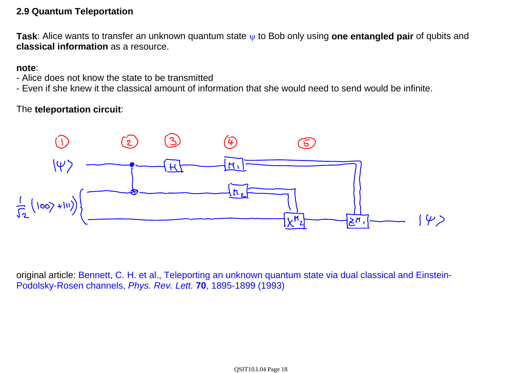### **2.9 Quantum Teleportation**

**Task:** Alice wants to transfer an unknown quantum state w to Bob only using one entangled pair of qubits and **classical information** as a resource.

### **note**:

- Alice does not know the state to be transmitted
- Even if she knew it the classical amount of information that she would need to send would be infinite.

### The **teleportation circuit**:



original article: Bennett, C. H. et al., Teleporting an unknown quantum state via dual classical and Einstein-Podolsky-Rosen channels, *Phys. Rev. Lett.* **70**, 1895-1899 (1993)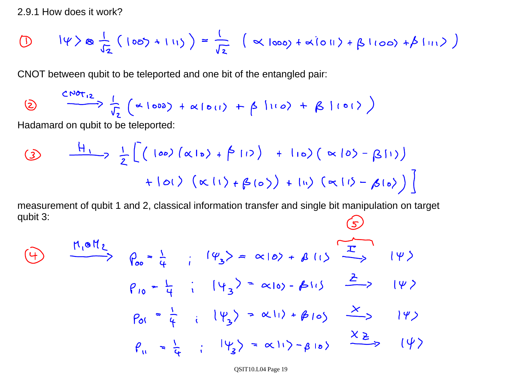2.9.1 How does it work?

$$
\text{(1)} \quad | \psi \rangle \otimes \frac{1}{\sqrt{2}} (|00\rangle + |11\rangle) = \frac{1}{\sqrt{2}} (\propto |000\rangle + \propto |01\rangle + \beta |100\rangle + \beta |11\rangle)
$$

CNOT between qubit to be teleported and one bit of the entangled pair:

$$
\frac{CD_{0}+2}{\sqrt{2}}\frac{1}{\sqrt{2}}\left(\alpha log_{2}+ \alpha log_{11}+\beta log_{2}+\beta log_{2}+\beta
$$

Hadamard on qubit to be teleported:

$$
\frac{41}{2} [ (100) (\alpha 10) + (01) + 110) (\alpha 10) - (\beta 11)]
$$
  
+101)  $(\alpha 11) + (\beta 10) + 111) (\alpha 11) - (\beta 10)$ 

measurement of qubit 1 and 2, classical information transfer and single bit manipulation on target qubit 3:

$$
\frac{\mu_1 \circ H_2}{\rho_{10} - \frac{L}{4}} = \frac{(\varphi_3)}{(\varphi_3)} = \alpha |0\rangle + \beta |1\rangle
$$
\n
$$
\frac{P_{10} - \frac{L}{4}}{\rho_{10} - \frac{L}{4}} = \frac{(\varphi_3)}{(\varphi_3)} = \alpha |0\rangle - \beta |1\rangle
$$
\n
$$
\frac{P_{20}}{\rho_{00}} = \frac{1}{4} = \frac{(\varphi_3)}{(\varphi_3)} = \alpha |1\rangle + \beta |0\rangle
$$
\n
$$
\frac{X_2}{\rho_{00}} = \frac{1}{4} = \frac{1}{4} = \frac{|\psi_3\rangle}{(\varphi_3)} = \alpha |1\rangle - \beta |0\rangle
$$

QSIT10.L04 Page 19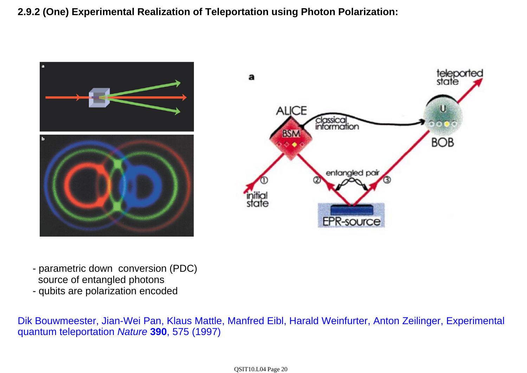**2.9.2 (One) Experimental Realization of Teleportation using Photon Polarization:**





- parametric down conversion (PDC) source of entangled photons
- qubits are polarization encoded

Dik Bouwmeester, Jian-Wei Pan, Klaus Mattle, Manfred Eibl, Harald Weinfurter, Anton Zeilinger, Experimental quantum teleportation *Nature* **390**, 575 (1997)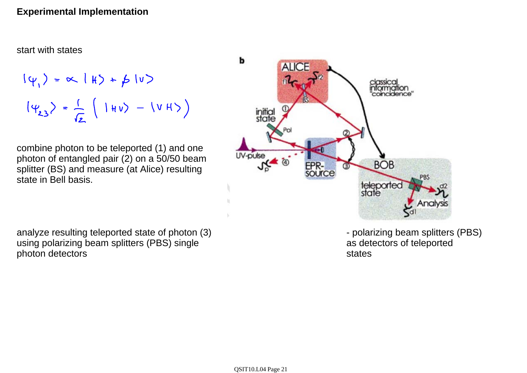### **Experimental Implementation**

start with states

$$
|\psi_1\rangle = \propto |f\rangle + \beta |v\rangle
$$
  

$$
|\psi_{23}\rangle = \frac{1}{\sqrt{2}} (|\psi_1\rangle - |\psi_1\rangle)
$$

combine photon to be teleported (1) and one photon of entangled pair (2) on a 50/50 beam splitter (BS) and measure (at Alice) resulting state in Bell basis.

analyze resulting teleported state of photon (3) using polarizing beam splitters (PBS) single photon detectors